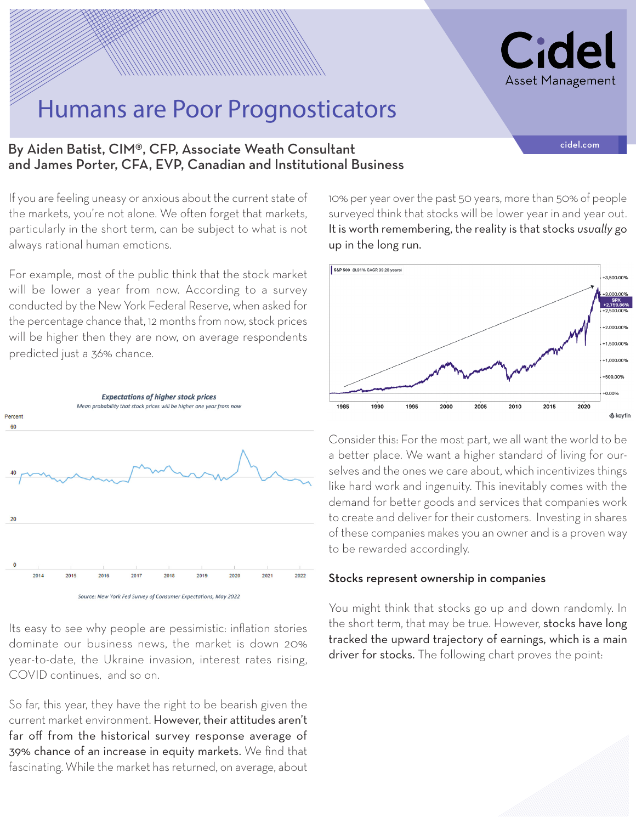

## Humans are Poor Prognosticators

## By Aiden Batist, CIM®, CFP, Associate Weath Consultant and the consultant of the computation of the computation and James Porter, CFA, EVP, Canadian and Institutional Business

If you are feeling uneasy or anxious about the current state of the markets, you're not alone. We often forget that markets, particularly in the short term, can be subject to what is not always rational human emotions.

For example, most of the public think that the stock market will be lower a year from now. According to a survey conducted by the New York Federal Reserve, when asked for the percentage chance that, 12 months from now, stock prices will be higher then they are now, on average respondents predicted just a 36% chance.



Its easy to see why people are pessimistic: inflation stories dominate our business news, the market is down 20% year-to-date, the Ukraine invasion, interest rates rising, COVID continues, and so on.

So far, this year, they have the right to be bearish given the current market environment. However, their attitudes aren't far off from the historical survey response average of 39% chance of an increase in equity markets. We find that fascinating. While the market has returned, on average, about

10% per year over the past 50 years, more than 50% of people surveyed think that stocks will be lower year in and year out. It is worth remembering, the reality is that stocks *usually* go up in the long run.



Consider this: For the most part, we all want the world to be a better place. We want a higher standard of living for ourselves and the ones we care about, which incentivizes things like hard work and ingenuity. This inevitably comes with the demand for better goods and services that companies work to create and deliver for their customers. Investing in shares of these companies makes you an owner and is a proven way to be rewarded accordingly.

### Stocks represent ownership in companies

You might think that stocks go up and down randomly. In the short term, that may be true. However, stocks have long tracked the upward trajectory of earnings, which is a main driver for stocks. The following chart proves the point: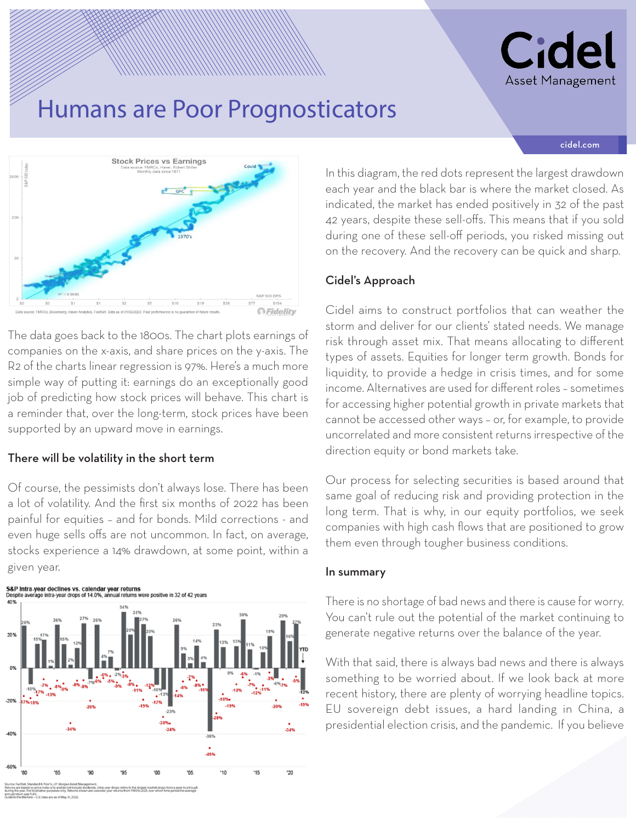# Cid Asset Management

# Humans are Poor Prognosticators

#### cidel.com



The data goes back to the 1800s. The chart plots earnings of companies on the x-axis, and share prices on the y-axis. The R2 of the charts linear regression is 97%. Here's a much more simple way of putting it: earnings do an exceptionally good job of predicting how stock prices will behave. This chart is a reminder that, over the long-term, stock prices have been supported by an upward move in earnings.

### There will be volatility in the short term

Of course, the pessimists don't always lose. There has been a lot of volatility. And the first six months of 2022 has been painful for equities – and for bonds. Mild corrections - and even huge sells offs are not uncommon. In fact, on average, stocks experience a 14% drawdown, at some point, within a given year.



In this diagram, the red dots represent the largest drawdown each year and the black bar is where the market closed. As indicated, the market has ended positively in 32 of the past 42 years, despite these sell-offs. This means that if you sold during one of these sell-off periods, you risked missing out on the recovery. And the recovery can be quick and sharp.

### Cidel's Approach

Cidel aims to construct portfolios that can weather the storm and deliver for our clients' stated needs. We manage risk through asset mix. That means allocating to different types of assets. Equities for longer term growth. Bonds for liquidity, to provide a hedge in crisis times, and for some income. Alternatives are used for different roles – sometimes for accessing higher potential growth in private markets that cannot be accessed other ways – or, for example, to provide uncorrelated and more consistent returns irrespective of the direction equity or bond markets take.

Our process for selecting securities is based around that same goal of reducing risk and providing protection in the long term. That is why, in our equity portfolios, we seek companies with high cash flows that are positioned to grow them even through tougher business conditions.

### In summary

There is no shortage of bad news and there is cause for worry. You can't rule out the potential of the market continuing to generate negative returns over the balance of the year.

With that said, there is always bad news and there is always something to be worried about. If we look back at more recent history, there are plenty of worrying headline topics. EU sovereign debt issues, a hard landing in China, a presidential election crisis, and the pandemic. If you believe